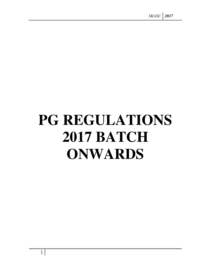# **PG REGULATIONS 2017 BATCH ONWARDS**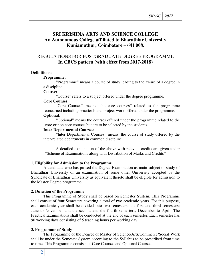# **SRI KRISHNA ARTS AND SCIENCE COLLEGE An Autonomous College affiliated to Bharathiar University Kuniamuthur, Coimbatore – 641 008.**

# REGULATIONS FOR POSTGRADUATE DEGREE PROGRAMME **In CBCS pattern (with effect from 2017-2018)**

#### **Definitions:**

#### **Programme:**

"Programme" means a course of study leading to the award of a degree in a discipline.

## **Course:**

"Course" refers to a subject offered under the degree programme.

## **Core Courses:**

"Core Courses" means "the core courses" related to the programme concerned including practicals and project work offered under the programme.

## **Optional:**

"Optional" means the courses offered under the programme related to the core or non core courses but are to be selected by the students.

## **Inter Departmental Courses:**

"Inter Departmental Courses" means, the course of study offered by the inter-related departments in common discipline.

 A detailed explanation of the above with relevant credits are given under "Scheme of Examinations along with Distribution of Marks and Credits"

## **1. Eligibility for Admission to the Programme**

A candidate who has passed the Degree Examination as main subject of study of Bharathiar University or an examination of some other University accepted by the Syndicate of Bharathiar University as equivalent thereto shall be eligible for admission to the Master Degree programme.

## **2. Duration of the Programme**

 This Programme of Study shall be based on Semester System. This Programme shall consist of four Semesters covering a total of two academic years. For this purpose, each academic year shall be divided into two semesters; the first and third semesters; June to November and the second and the fourth semesters; December to April. The Practical Examinations shall be conducted at the end of each semester. Each semester has 90 working days consisting of 5 teaching hours per working day.

## **3. Programme of Study**

The Programme of the Degree of Master of Science/Arts/Commerce/Social Work shall be under the Semester System according to the Syllabus to be prescribed from time to time. This Programme consists of Core Courses and Optional Courses.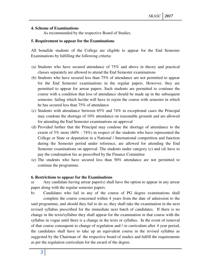## **4. Scheme of Examinations**

As recommended by the respective Board of Studies.

## **5. Requirement to appear for the Examinations**

All bonafide students of the College are eligible to appear for the End Semester Examinations by fulfilling the following criteria:

- (a) Students who have secured attendance of 75% and above in theory and practical classes separately are allowed to attend the End Semester examinations
- (b) Students who have secured less than 75% of attendance are not permitted to appear for the End Semester examinations in the regular papers. However, they are permitted to appear for arrear papers. Such students are permitted to continue the course with a condition that loss of attendance should be made up in the subsequent semester, failing which he/she will have to rejoin the course with semester in which he has secured less than 75% of attendance
- (c) Students with attendance between 65% and 74% in exceptional cases the Principal may condone the shortage of 10% attendance on reasonable grounds and are allowed for attending the End Semester examinations on approval
- (d) Provided further that the Principal may condone the shortage of attendance to the extent of 5% more (60% - 74%) in respect of the students who have represented the College or State or deputation in a National / International competition and function during the Semester period under reference, are allowed for attending the End Semester examinations on approval. The students under category (c) and (d) have to pay the condonation fee as prescribed by the Finance Committee
- (e) The students who have secured less than 50% attendance are not permitted to continue the programme.

#### **6. Restrictions to appear for the Examinations**

a) Any candidate having arrear paper(s) shall have the option to appear in any arrear paper along with the regular semester papers.

b) Candidates who fail in any of the course of PG degree examinations shall complete the course concerned within 4 years from the date of admission to the said programme, and should they fail to do so, they shall take the examination in the next revised syllabus prescribed for the immediate next batch of candidates. If there is no change in the texts/syllabus they shall appear for the examination in that course with the syllabus in vogue until there is a change in the texts or syllabus. In the event of removal of that course consequent to change of regulation and / or curriculum after 4 year period, the candidates shall have to take up an equivalent course in the revised syllabus as suggested by the Chairman of the respective board of studies and fulfill the requirements as per the regulation curriculum for the award of the degree.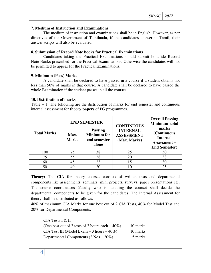#### **7. Medium of Instruction and Examinations**

The medium of instruction and examinations shall be in English. However, as per directives of the Government of Tamilnadu, if the candidates answer in Tamil, their answer scripts will also be evaluated.

#### **8. Submission of Record Note books for Practical Examinations**

Candidates taking the Practical Examinations should submit bonafide Record Note Books prescribed for the Practical Examinations. Otherwise the candidates will not be permitted to appear for the Practical Examinations.

#### **9**. **Minimum (Pass) Marks**

A candidate shall be declared to have passed in a course if a student obtains not less than 50% of marks in that course. A candidate shall be declared to have passed the whole Examination if the student passes in all the courses.

#### **10. Distribution of marks**

Table – 1: The following are the distribution of marks for end semester and continuous internal assessment for **theory papers** of PG programmes.

|                    |                      | <b>END SEMESTER</b>                                           |                                                                           | <b>Overall Passing</b><br>Minimum total                                         |  |
|--------------------|----------------------|---------------------------------------------------------------|---------------------------------------------------------------------------|---------------------------------------------------------------------------------|--|
| <b>Total Marks</b> | Max.<br><b>Marks</b> | <b>Passing</b><br><b>Minimum</b> for<br>end semester<br>alone | <b>CONTINUOUS</b><br><b>INTERNAL</b><br><b>ASSESSMENT</b><br>(Max. Marks) | marks<br>(Continuous<br><b>Internal</b><br>Assessment +<br><b>End Semester)</b> |  |
| 100                | 75                   | 38                                                            | 25                                                                        | 50                                                                              |  |
| 75                 | 55                   | 28                                                            | 20                                                                        | 38                                                                              |  |
| 60                 | 45                   | 23                                                            | 15                                                                        | 30                                                                              |  |
| 50                 |                      |                                                               |                                                                           | 25                                                                              |  |

**Theory:** The CIA for theory courses consists of written tests and departmental components like assignments, seminars, mini projects, surveys, paper presentations etc. The course coordinators (faculty who is handling the course) shall decide the departmental components to be given for the candidates. The Internal Assessment for theory shall be distributed as follows,

40% of maximum CIA Marks for one best out of 2 CIA Tests, 40% for Model Test and 20% for Departmental Components.

 CIA Tests I & II (One best out of 2 tests of 2 hours each  $-40\%$ ) 10 marks CIA Test III (Model Exam  $-3$  hours  $-40\%$ ) 10 marks Departmental Components  $(2 \text{ Nos} - 20\%)$  5 marks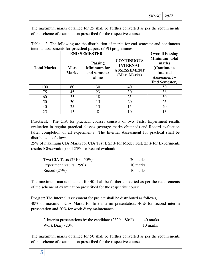The maximum marks obtained for 25 shall be further converted as per the requirements of the scheme of examination prescribed for the respective course.

|                    |                      | <b>END SEMESTER</b>                                           | $\circ$                                                                    | <b>Overall Passing</b>                                                                                  |
|--------------------|----------------------|---------------------------------------------------------------|----------------------------------------------------------------------------|---------------------------------------------------------------------------------------------------------|
| <b>Total Marks</b> | Max.<br><b>Marks</b> | <b>Passing</b><br><b>Minimum</b> for<br>end semester<br>alone | <b>CONTINUOUS</b><br><b>INTERNAL</b><br><b>ASSESSEMENT</b><br>(Max. Marks) | Minimum total<br>marks<br>(Continuous<br><b>Internal</b><br><b>Assessment +</b><br><b>End Semester)</b> |
| 100                | 60                   | 30                                                            | 40                                                                         | 50                                                                                                      |
| 75                 | 45                   | 23                                                            | 30                                                                         | 38                                                                                                      |
| 60                 | 35                   | 18                                                            | 25                                                                         | 30                                                                                                      |
| 50                 | 30                   | 15                                                            | 20                                                                         | 25                                                                                                      |
| 40                 | 25                   | 13                                                            | 15                                                                         | 20                                                                                                      |
| 25                 |                      | 8                                                             | 10                                                                         | 13                                                                                                      |

| Table $-2$ : The following are the distribution of marks for end semester and continuous |  |  |  |  |
|------------------------------------------------------------------------------------------|--|--|--|--|
| internal assessments for <b>practical papers</b> of PG programmes.                       |  |  |  |  |

**Practical:** The CIA for practical courses consists of two Tests, Experiment results evaluation in regular practical classes (average marks obtained) and Record evaluation (after completion of all experiments). The Internal Assessment for practical shall be distributed as follows,

25% of maximum CIA Marks for CIA Test I, 25% for Model Test, 25% for Experiments results (Observation) and 25% for Record evaluation.

| Two CIA Tests $(2*10 - 50\%)$ | 20 marks |
|-------------------------------|----------|
| Experiment results $(25%)$    | 10 marks |
| Record $(25\%)$               | 10 marks |

The maximum marks obtained for 40 shall be further converted as per the requirements of the scheme of examination prescribed for the respective course.

**Project:** The Internal Assessment for project shall be distributed as follows, 40% of maximum CIA Marks for first interim presentation, 40% for second interim presentation and 20% for work diary maintenance.

| 2-Interim presentations by the candidate $(2*20 - 80\%)$ | 40 marks |
|----------------------------------------------------------|----------|
| Work Diary $(20\%)$                                      | 10 marks |

The maximum marks obtained for 50 shall be further converted as per the requirements of the scheme of examination prescribed for the respective course.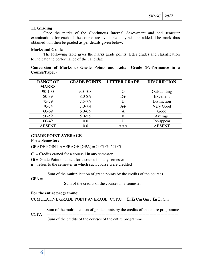## **11. Grading**

Once the marks of the Continuous Internal Assessment and end semester examinations for each of the course are available, they will be added. The mark thus obtained will then be graded as per details given below:

## **Marks and Grades**

The following table gives the marks grade points, letter grades and classification to indicate the performance of the candidate.

## **Conversion of Marks to Grade Points and Letter Grade (Performance in a Course/Paper)**

| <b>RANGE OF</b> | <b>GRADE POINTS</b> | <b>LETTER GRADE</b> | <b>DESCRIPTION</b> |
|-----------------|---------------------|---------------------|--------------------|
| <b>MARKS</b>    |                     |                     |                    |
| 90-100          | $9.0 - 10.0$        | 0                   | Outstanding        |
| 80-89           | 8.0-8.9             | D+                  | Excellent          |
| 75-79           | $7.5 - 7.9$         | D                   | Distinction        |
| 70-74           | $7.0 - 7.4$         | A+                  | Very Good          |
| 60-69           | $6.0 - 6.9$         | A                   | Good               |
| 50-59           | $5.0 - 5.9$         | В                   | Average            |
| $00-49$         | 0.0                 | U                   | Re-appear          |
| <b>ABSENT</b>   | 0.0                 | A A A               | <b>ABSENT</b>      |

## **GRADE POINT AVERAGE**

**For a Semester:** 

GRADE POINT AVERAGE [GPA] **=** Σi Ci Gi / Σi Ci

 $Ci = C$  redits earned for a course i in any semester

 $Gi = Grade Point obtained for a course i in any semester$ 

n = refers to the semester in which such course were credited

Sum of the multiplication of grade points by the credits of the courses

GPA = ------------------------------------------------------------------------------------------

Sum of the credits of the courses in a semester

## **For the entire programme:**

CUMULATIVE GRADE POINT AVERAGE [CGPA] **=** ΣnΣi Cni Gni / Σn Σi Cni

Sum of the multiplication of grade points by the credits of the entire programme

CGPA = ------------------------------------------------------------------------------------------------ Sum of the credits of the courses of the entire programme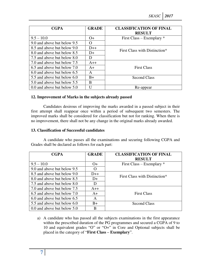| <b>CGPA</b>                 | <b>GRADE</b> | <b>CLASSIFICATION OF FINAL</b><br><b>RESULT</b> |
|-----------------------------|--------------|-------------------------------------------------|
| $9.5 - 10.0$                | $O+$         | First Class – Exemplary $*$                     |
| 9.0 and above but below 9.5 | O            |                                                 |
| 8.5 and above but below 9.0 | $D++$        | First Class with Distinction*                   |
| 8.0 and above but below 8.5 | $D+$         |                                                 |
| 7.5 and above but below 8.0 | D            |                                                 |
| 7.0 and above but below 7.5 | $A++$        |                                                 |
| 6.5 and above but below 7.0 | $A+$         | <b>First Class</b>                              |
| 6.0 and above but below 6.5 | A            |                                                 |
| 5.5 and above but below 6.0 | $B+$         | <b>Second Class</b>                             |
| 5.0 and above but below 5.5 | B            |                                                 |
| 0.0 and above but below 5.0 |              | Re-appear                                       |

## **12. Improvement of Marks in the subjects already passed**

Candidates desirous of improving the marks awarded in a passed subject in their first attempt shall reappear once within a period of subsequent two semesters. The improved marks shall be considered for classification but not for ranking. When there is no improvement, there shall not be any change in the original marks already awarded.

#### **13. Classification of Successful candidates**

A candidate who passes all the examinations and securing following CGPA and Grades shall be declared as follows for each part:

| <b>CGPA</b>                 | <b>GRADE</b> | <b>CLASSIFICATION OF FINAL</b><br><b>RESULT</b> |
|-----------------------------|--------------|-------------------------------------------------|
| $9.5 - 10.0$                | $O+$         | First Class – Exemplary $*$                     |
| 9.0 and above but below 9.5 | $\Omega$     |                                                 |
| 8.5 and above but below 9.0 | $D++$        | First Class with Distinction*                   |
| 8.0 and above but below 8.5 | $D+$         |                                                 |
| 7.5 and above but below 8.0 | D            |                                                 |
| 7.0 and above but below 7.5 | $A++$        |                                                 |
| 6.5 and above but below 7.0 | $A+$         | <b>First Class</b>                              |
| 6.0 and above but below 6.5 | A            |                                                 |
| 5.5 and above but below 6.0 | $B+$         | <b>Second Class</b>                             |
| 0.0 and above but below 5.0 | В            |                                                 |

a) A candidate who has passed all the subjects examinations in the first appearance within the prescribed duration of the PG programmes and secured a CGPA of 9 to 10 and equivalent grades "O" or "O+" in Core and Optional subjects shall be placed in the category of "**First Class – Exemplary**".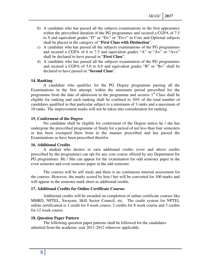- b) A candidate who has passed all the subjects examinations in the first appearance within the prescribed duration of the PG programmes and secured a CGPA of 7.5 to 9 and equivalent grades "D" or "D+" or "D++" in Core and Optional subjects shall be placed in the category of "**First Class with Distinction**".
- c) A candidate who has passed all the subjects examinations of the PG programmes and secured a CGPA of 6 to 7.5 and equivalent grades "A" or "A+" or "A++" shall be declared to have passed in "**First Class**".
- d) A candidate who has passed all the subjects examination of the PG programmes and secured a CGPA of 5.0 to 6.0 and equivalent grades "B" or "B+" shall be declared to have passed in "**Second Class**".

#### **14. Ranking**

A candidate who qualifies for the PG Degree programme passing all the Examinations in the first attempt, within the minimum period prescribed for the programme from the date of admission to the programme and secures  $1<sup>st</sup>$  Class shall be eligible for ranking and such ranking shall be confined to 10% of the total number of candidates qualified in that particular subject to a minimum of 3 ranks and a maximum of 10 ranks. The improvement marks will not be taken into consideration for ranking.

#### **15. Conferment of the Degree**

No candidate shall be eligible for conferment of the Degree unless he / she has undergone the prescribed programme of Study for a period of not less than four semesters or has been exempted there from in the manner prescribed and has passed the Examinations as have been prescribed therefor.

#### **16. Additional Credits**

A student who desires to earn additional credits (over and above credits prescribed by the programme) can opt for any core course offered by any Department for PG programmes. He / She can appear for the examination for odd semester paper in the even semester and even semester paper in the odd semester.

 The courses will be self study and there is no continuous internal assessment for the courses. However, the marks scored by him / her will be converted for 100 marks and will appear in the semester mark sheet as additional credits.

#### **17. Additional Credits for Online Certificate Courses**

 Additional credits will be awarded on completion of online certificate courses like MHRD, NPTEL, Swayam, Skill Sector Council, etc. The credit system for NPTEL online certification is 1 credit for 4 week course, 2 credits for 8 week course and 3 credits for 12 week course.

#### **18. Question Paper Pattern**

The following question paper patterns shall be followed for the candidates admitted from the academic year 2011-2012 wherever applicable.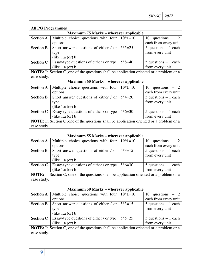## **All PG Programmes**

| <b>Maximum 75 Marks – wherever applicable</b>                                                   |                                                                                                 |           |                         |  |
|-------------------------------------------------------------------------------------------------|-------------------------------------------------------------------------------------------------|-----------|-------------------------|--|
| <b>Section A</b>                                                                                | Multiple choice questions with four $10*1=10$                                                   |           | 10 questions $-2$       |  |
|                                                                                                 | options                                                                                         |           | each from every unit    |  |
| <b>Section B</b>                                                                                | Short answer questions of either / or                                                           | $5*5=25$  | $5$ questions $-1$ each |  |
|                                                                                                 | type                                                                                            |           | from every unit         |  |
|                                                                                                 | (like $1.a$ (or) $b$                                                                            |           |                         |  |
| <b>Section C</b>                                                                                | Essay-type questions of either / or type                                                        | $5*8=40$  | $5$ questions $-1$ each |  |
|                                                                                                 | (like $1.a$ (or) $b$                                                                            |           | from every unit         |  |
|                                                                                                 | <b>NOTE:</b> In Section C, one of the questions shall be application oriented or a problem or a |           |                         |  |
| case study.                                                                                     |                                                                                                 |           |                         |  |
|                                                                                                 | <b>Maximum 60 Marks – wherever applicable</b>                                                   |           |                         |  |
| <b>Section A</b>                                                                                | Multiple choice questions with four                                                             | $10*1=10$ | 10 questions $-2$       |  |
|                                                                                                 | options                                                                                         |           | each from every unit    |  |
| <b>Section B</b>                                                                                | Short answer questions of either / or                                                           | $5*4=20$  | $5$ questions $-1$ each |  |
|                                                                                                 | type                                                                                            |           | from every unit         |  |
|                                                                                                 | (like $1.a$ (or) $b$                                                                            |           |                         |  |
| <b>Section C</b>                                                                                | Essay-type questions of either / or type                                                        | $5*6=30$  | $5$ questions $-1$ each |  |
|                                                                                                 | (like $1.a$ (or) $b$                                                                            |           | from every unit         |  |
| <b>NOTE:</b> In Section C, one of the questions shall be application oriented or a problem or a |                                                                                                 |           |                         |  |
| case study.                                                                                     |                                                                                                 |           |                         |  |

|                                                                                                 | <b>Maximum 55 Marks – wherever applicable</b>  |          |                         |  |  |
|-------------------------------------------------------------------------------------------------|------------------------------------------------|----------|-------------------------|--|--|
| <b>Section A</b>                                                                                | Multiple choice questions with four $10*1=10$  |          | 10 questions $-2$       |  |  |
|                                                                                                 | options                                        |          | each from every unit    |  |  |
| <b>Section B</b>                                                                                | Short answer questions of either / or $5*3=15$ |          | $5$ questions $-1$ each |  |  |
|                                                                                                 | type                                           |          | from every unit         |  |  |
|                                                                                                 | (like $1.a$ (or) $b$                           |          |                         |  |  |
| <b>Section C</b>                                                                                | Essay-type questions of either / or type       | $5*6=30$ | $5$ questions $-1$ each |  |  |
|                                                                                                 | (like $1.a$ (or) $b$                           |          | from every unit         |  |  |
| <b>NOTE:</b> In Section C, one of the questions shall be application oriented or a problem or a |                                                |          |                         |  |  |
| case study.                                                                                     |                                                |          |                         |  |  |

| <b>Maximum 50 Marks – wherever applicable</b>                                                   |                                                              |          |                         |  |
|-------------------------------------------------------------------------------------------------|--------------------------------------------------------------|----------|-------------------------|--|
| <b>Section A</b>                                                                                | Multiple choice questions with four $\vert 10^*1=10 \rangle$ |          | 10 questions $-2$       |  |
|                                                                                                 | options                                                      |          | each from every unit    |  |
| <b>Section B</b>                                                                                | Short answer questions of either / or                        | $5*3=15$ | $5$ questions $-1$ each |  |
|                                                                                                 | type                                                         |          | from every unit         |  |
|                                                                                                 | (like $1.a$ (or) $b$                                         |          |                         |  |
| <b>Section C</b>                                                                                | <b>Essay-type questions of either / or type</b>              | $5*5=25$ | $5$ questions $-1$ each |  |
|                                                                                                 | (like $1.a$ (or) $b$                                         |          | from every unit         |  |
| <b>NOTE:</b> In Section C, one of the questions shall be application oriented or a problem or a |                                                              |          |                         |  |
| case study.                                                                                     |                                                              |          |                         |  |